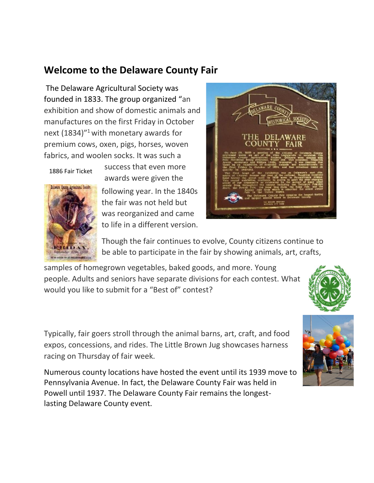## **Welcome to the Delaware County Fair**

The Delaware Agricultural Society was founded in 1833. The group organized "an exhibition and show of domestic animals and manufactures on the first Friday in October next  $(1834)^{n_1}$  with monetary awards for premium cows, oxen, pigs, horses, woven fabrics, and woolen socks. It was such a

1886 Fair Ticket



following year. In the 1840s the fair was not held but was reorganized and came to life in a different version.



Though the fair continues to evolve, County citizens continue to be able to participate in the fair by showing animals, art, crafts,

samples of homegrown vegetables, baked goods, and more. Young people. Adults and seniors have separate divisions for each contest. What would you like to submit for a "Best of" contest?





Typically, fair goers stroll through the animal barns, art, craft, and food expos, concessions, and rides. The Little Brown Jug showcases harness racing on Thursday of fair week.

Numerous county locations have hosted the event until its 1939 move to Pennsylvania Avenue. In fact, the Delaware County Fair was held in Powell until 1937. The Delaware County Fair remains the longestlasting Delaware County event.